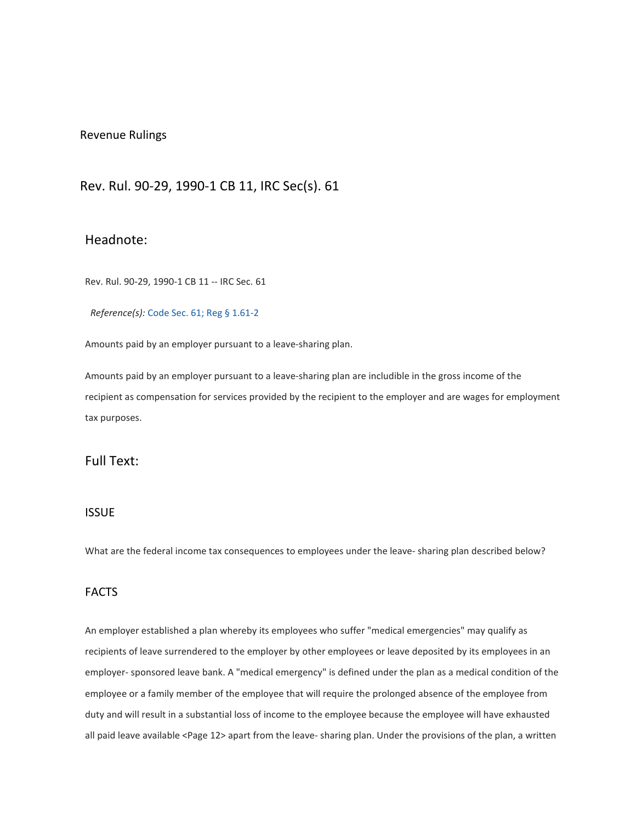## Revenue Rulings

# Rev. Rul. 90-29, 1990-1 CB 11, IRC Sec(s). 61

# Headnote:

Rev. Rul. 90-29, 1990-1 CB 11 -- IRC Sec. 61

*Reference(s):* Code Sec. 61; Reg § 1.61-2

Amounts paid by an employer pursuant to a leave-sharing plan.

Amounts paid by an employer pursuant to a leave-sharing plan are includible in the gross income of the recipient as compensation for services provided by the recipient to the employer and are wages for employment tax purposes.

# Full Text:

## ISSUE

What are the federal income tax consequences to employees under the leave- sharing plan described below?

#### FACTS

An employer established a plan whereby its employees who suffer "medical emergencies" may qualify as recipients of leave surrendered to the employer by other employees or leave deposited by its employees in an employer- sponsored leave bank. A "medical emergency" is defined under the plan as a medical condition of the employee or a family member of the employee that will require the prolonged absence of the employee from duty and will result in a substantial loss of income to the employee because the employee will have exhausted all paid leave available <Page 12> apart from the leave- sharing plan. Under the provisions of the plan, a written